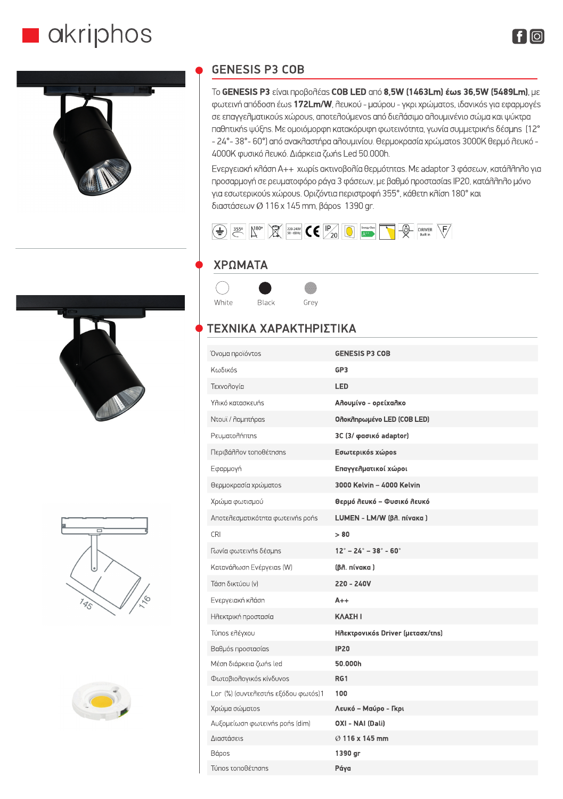## akriphos



## **GENESIS P3 COB**

To GENESIS P3 είναι προβολέαs COB LED από 8,5W (1463Lm) έωs 36,5W (5489Lm), με φωτεινή απόδοση έωs 172Lm/W, λευκού - μαύρου - γκρι χρώματοs, ιδανικόs για εφαρμογέs σε επαγγελματικούs χώρουs, αποτελούμενοs από διελάσιμο αλουμινένιο σώμα και ψύκτρα παθητική ψύξης. Με ομοιόμορφη κατακόρυφη φωτεινότητα, γωνία συμμετρικής δέσμης (12° - 24° - 38° - 60°) από ανακλαστήρα αλουμινίου. Θερμοκρασία χρώματοs 3000Κ θερμό λευκό -4000Κ φυσικό λευκό. Διάρκεια ζωής Led 50.000h.

Ενεργειακή κλάση A++ χωρίς ακτινοβολία θερμότητας. Με adaptor 3 φάσεων, κατάλληλο για προσαρμογή σε ρευματοφόρο ράγα 3 φάσεων, με βαθμό προστασίαs IP20, κατάλληλο μόνο για εσωτερικούs χώρουs. Οριζόντια περιστροφή 355°, κάθετη κλίση 180° και διαστάσεων Ø 116 x 145 mm, βάροs 1390 gr.



## ΧΡΩΜΑΤΑ



## ΤΕΧΝΙΚΑ ΧΑΡΑΚΤΗΡΙΣΤΙΚΑ

| Όνομα προϊόντος                     | <b>GENESIS P3 COB</b>                               |
|-------------------------------------|-----------------------------------------------------|
| Κωδικός                             | GP3                                                 |
| Τεχνολογία                          | LED                                                 |
| Υλικό κατασκευής                    | Αλουμίνο - ορείχαλκο                                |
| Ντουϊ / λαμπτήραs                   | Ολοκληρωμένο LED (COB LED)                          |
| Pευματολήπτης                       | 3C (3/ φασικό adaptor)                              |
| Περιβάλλον τοποθέτησης              | Εσωτερικόs χώροs                                    |
| Εφαρμογή                            | Επαγγελματικοί χώροι                                |
| θερμοκρασία χρώματοs                | 3000 Kelvin - 4000 Kelvin                           |
| Χρώμα φωτισμού                      | Θερμό Λευκό - Φυσικό Λευκό                          |
| Αποτελεσματικότητα φωτεινής ροής    | LUMEN - LM/W (βλ. πίνακα)                           |
| <b>CRI</b>                          | > 80                                                |
| Γωνία φωτεινής δέσμης               | $12^{\circ} - 24^{\circ} - 38^{\circ} - 60^{\circ}$ |
| Κατανάλωση Ενέργειαs (W)            | (β <sub>η</sub> , πίνακα)                           |
| Τάση δικτύου [v]                    | 220 - 240V                                          |
| Ενεργειακή κλάση                    | $A++$                                               |
| Ηλεκτρική προστασία                 | ΚΛΑΣΗ Ι                                             |
| Túnos ελέγχου                       | Ηλεκτρονικόs Driver (μετασχ/της)                    |
| Βαθμόs προστασίαs                   | <b>IP20</b>                                         |
| Μέση διάρκεια ζωήs led              | 50.000h                                             |
| Φωτοβιολογικόs κίνδυνοs             | RG1                                                 |
| Lor (%) (συντελεστής εξόδου φωτός)1 | 100                                                 |
| Χρώμα σώματοs                       | Λευκό - Μαύρο - Γκρι                                |
| Αυξομείωση φωτεινήs pońs (dim)      | OXI - NAI (Dali)                                    |
| Διαστάσεις                          | $\oslash$ 116 x 145 mm                              |
| Bápos                               | 1390 gr                                             |
| Túnos τοποθέτησηs                   | Páya                                                |